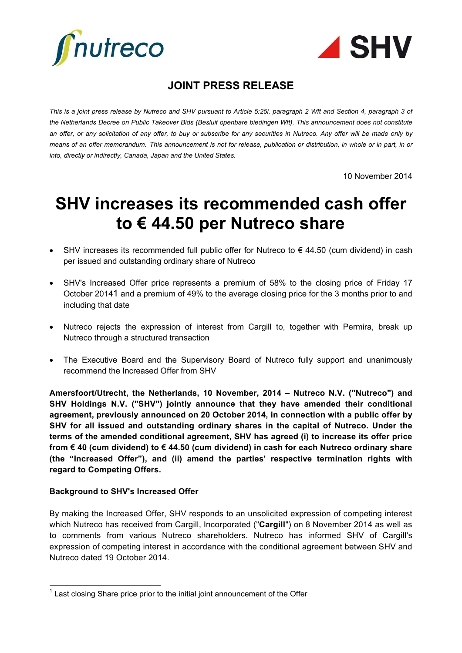



# **JOINT PRESS RELEASE**

*This is a joint press release by Nutreco and SHV pursuant to Article 5:25i, paragraph 2 Wft and Section 4, paragraph 3 of*  the Netherlands Decree on Public Takeover Bids (Besluit openbare biedingen Wft). This announcement does not constitute *an offer, or any solicitation of any offer, to buy or subscribe for any securities in Nutreco. Any offer will be made only by means of an offer memorandum. This announcement is not for release, publication or distribution, in whole or in part, in or into, directly or indirectly, Canada, Japan and the United States.*

10 November 2014

# **SHV increases its recommended cash offer to € 44.50 per Nutreco share**

- SHV increases its recommended full public offer for Nutreco to  $\epsilon$  44.50 (cum dividend) in cash per issued and outstanding ordinary share of Nutreco
- SHV's Increased Offer price represents a premium of 58% to the closing price of Friday 17 October 20141 and a premium of 49% to the average closing price for the 3 months prior to and including that date
- Nutreco rejects the expression of interest from Cargill to, together with Permira, break up Nutreco through a structured transaction
- The Executive Board and the Supervisory Board of Nutreco fully support and unanimously recommend the Increased Offer from SHV

**Amersfoort/Utrecht, the Netherlands, 10 November, 2014 – Nutreco N.V. ("Nutreco") and SHV Holdings N.V. ("SHV") jointly announce that they have amended their conditional agreement, previously announced on 20 October 2014, in connection with a public offer by SHV for all issued and outstanding ordinary shares in the capital of Nutreco. Under the terms of the amended conditional agreement, SHV has agreed (i) to increase its offer price from € 40 (cum dividend) to € 44.50 (cum dividend) in cash for each Nutreco ordinary share (the "Increased Offer"), and (ii) amend the parties' respective termination rights with regard to Competing Offers.**

## **Background to SHV's Increased Offer**

By making the Increased Offer, SHV responds to an unsolicited expression of competing interest which Nutreco has received from Cargill, Incorporated ("**Cargill**") on 8 November 2014 as well as to comments from various Nutreco shareholders. Nutreco has informed SHV of Cargill's expression of competing interest in accordance with the conditional agreement between SHV and Nutreco dated 19 October 2014.

 $\overline{a}$  $1$  Last closing Share price prior to the initial joint announcement of the Offer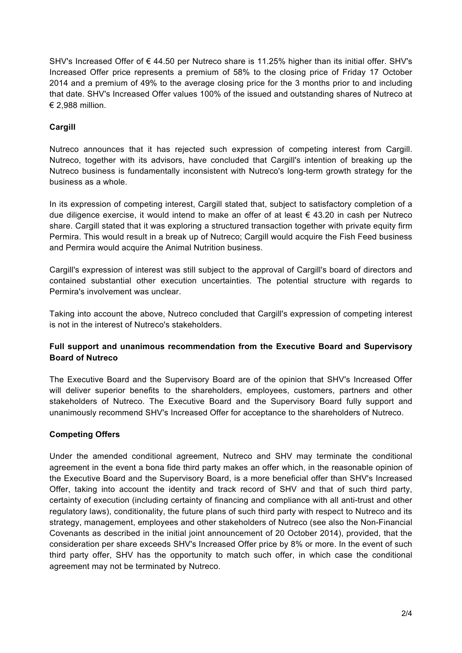SHV's Increased Offer of € 44.50 per Nutreco share is 11.25% higher than its initial offer. SHV's Increased Offer price represents a premium of 58% to the closing price of Friday 17 October 2014 and a premium of 49% to the average closing price for the 3 months prior to and including that date. SHV's Increased Offer values 100% of the issued and outstanding shares of Nutreco at € 2,988 million.

# **Cargill**

Nutreco announces that it has rejected such expression of competing interest from Cargill. Nutreco, together with its advisors, have concluded that Cargill's intention of breaking up the Nutreco business is fundamentally inconsistent with Nutreco's long-term growth strategy for the business as a whole.

In its expression of competing interest, Cargill stated that, subject to satisfactory completion of a due diligence exercise, it would intend to make an offer of at least  $\epsilon$  43.20 in cash per Nutreco share. Cargill stated that it was exploring a structured transaction together with private equity firm Permira. This would result in a break up of Nutreco; Cargill would acquire the Fish Feed business and Permira would acquire the Animal Nutrition business.

Cargill's expression of interest was still subject to the approval of Cargill's board of directors and contained substantial other execution uncertainties. The potential structure with regards to Permira's involvement was unclear.

Taking into account the above, Nutreco concluded that Cargill's expression of competing interest is not in the interest of Nutreco's stakeholders.

# **Full support and unanimous recommendation from the Executive Board and Supervisory Board of Nutreco**

The Executive Board and the Supervisory Board are of the opinion that SHV's Increased Offer will deliver superior benefits to the shareholders, employees, customers, partners and other stakeholders of Nutreco. The Executive Board and the Supervisory Board fully support and unanimously recommend SHV's Increased Offer for acceptance to the shareholders of Nutreco.

# **Competing Offers**

Under the amended conditional agreement, Nutreco and SHV may terminate the conditional agreement in the event a bona fide third party makes an offer which, in the reasonable opinion of the Executive Board and the Supervisory Board, is a more beneficial offer than SHV's Increased Offer, taking into account the identity and track record of SHV and that of such third party, certainty of execution (including certainty of financing and compliance with all anti-trust and other regulatory laws), conditionality, the future plans of such third party with respect to Nutreco and its strategy, management, employees and other stakeholders of Nutreco (see also the Non-Financial Covenants as described in the initial joint announcement of 20 October 2014), provided, that the consideration per share exceeds SHV's Increased Offer price by 8% or more. In the event of such third party offer, SHV has the opportunity to match such offer, in which case the conditional agreement may not be terminated by Nutreco.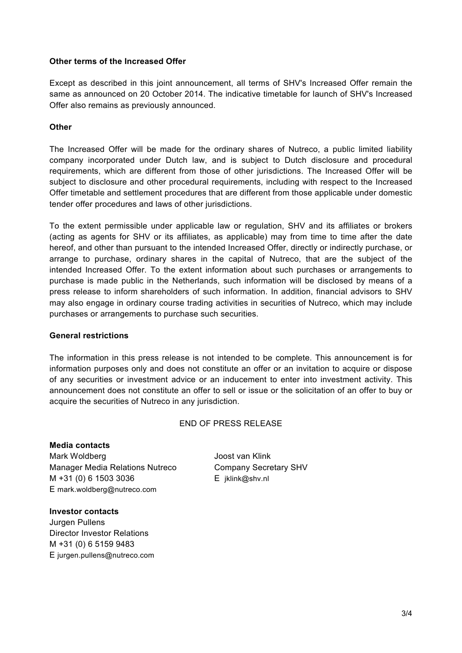#### **Other terms of the Increased Offer**

Except as described in this joint announcement, all terms of SHV's Increased Offer remain the same as announced on 20 October 2014. The indicative timetable for launch of SHV's Increased Offer also remains as previously announced.

#### **Other**

The Increased Offer will be made for the ordinary shares of Nutreco, a public limited liability company incorporated under Dutch law, and is subject to Dutch disclosure and procedural requirements, which are different from those of other jurisdictions. The Increased Offer will be subject to disclosure and other procedural requirements, including with respect to the Increased Offer timetable and settlement procedures that are different from those applicable under domestic tender offer procedures and laws of other jurisdictions.

To the extent permissible under applicable law or regulation, SHV and its affiliates or brokers (acting as agents for SHV or its affiliates, as applicable) may from time to time after the date hereof, and other than pursuant to the intended Increased Offer, directly or indirectly purchase, or arrange to purchase, ordinary shares in the capital of Nutreco, that are the subject of the intended Increased Offer. To the extent information about such purchases or arrangements to purchase is made public in the Netherlands, such information will be disclosed by means of a press release to inform shareholders of such information. In addition, financial advisors to SHV may also engage in ordinary course trading activities in securities of Nutreco, which may include purchases or arrangements to purchase such securities.

## **General restrictions**

The information in this press release is not intended to be complete. This announcement is for information purposes only and does not constitute an offer or an invitation to acquire or dispose of any securities or investment advice or an inducement to enter into investment activity. This announcement does not constitute an offer to sell or issue or the solicitation of an offer to buy or acquire the securities of Nutreco in any jurisdiction.

## END OF PRESS RELEASE

#### **Media contacts**

Mark Woldberg **Mark Woldberg Joost van Klink** Manager Media Relations Nutreco Company Secretary SHV M +31 (0) 6 1503 3036 E [jklink@shv.n](mailto:jklink@shv.nl)l E [mark.woldberg@nutreco.com](mailto:mark.woldberg@nutreco.com)

#### **Investor contacts**

Jurgen Pullens Director Investor Relations M +31 (0) 6 5159 9483 E [jurgen.pullens@nutreco.com](mailto:jurgen.pullens@nutreco.com)